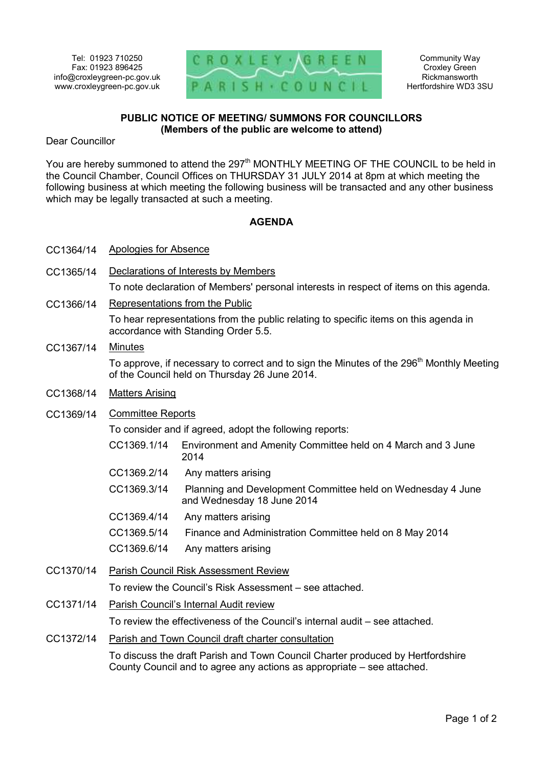

Community Way Croxley Green Rickmansworth Hertfordshire WD3 3SU

## **PUBLIC NOTICE OF MEETING/ SUMMONS FOR COUNCILLORS (Members of the public are welcome to attend)**

Dear Councillor

You are hereby summoned to attend the 297<sup>th</sup> MONTHLY MEETING OF THE COUNCIL to be held in the Council Chamber, Council Offices on THURSDAY 31 JULY 2014 at 8pm at which meeting the following business at which meeting the following business will be transacted and any other business which may be legally transacted at such a meeting.

## **AGENDA**

- CC1364/14 Apologies for Absence
- CC1365/14 Declarations of Interests by Members To note declaration of Members' personal interests in respect of items on this agenda.
- CC1366/14 Representations from the Public To hear representations from the public relating to specific items on this agenda in accordance with Standing Order 5.5.
- CC1367/14 Minutes To approve, if necessary to correct and to sign the Minutes of the 296<sup>th</sup> Monthly Meeting of the Council held on Thursday 26 June 2014. CC1368/14 Matters Arising
- CC1369/14 Committee Reports

To consider and if agreed, adopt the following reports:

|           | , o concident and in agrocal adopt the renoming reporter |                                                                                           |
|-----------|----------------------------------------------------------|-------------------------------------------------------------------------------------------|
|           | CC1369.1/14                                              | Environment and Amenity Committee held on 4 March and 3 June<br>2014                      |
|           | CC1369.2/14                                              | Any matters arising                                                                       |
|           | CC1369.3/14                                              | Planning and Development Committee held on Wednesday 4 June<br>and Wednesday 18 June 2014 |
|           | CC1369.4/14                                              | Any matters arising                                                                       |
|           | CC1369.5/14                                              | Finance and Administration Committee held on 8 May 2014                                   |
|           | CC1369.6/14                                              | Any matters arising                                                                       |
| CC1370/14 | Parish Council Risk Assessment Review                    |                                                                                           |
|           | To review the Council's Risk Assessment – see attached.  |                                                                                           |

- CC1371/14 Parish Council's Internal Audit review To review the effectiveness of the Council's internal audit – see attached.
- CC1372/14 Parish and Town Council draft charter consultation

To discuss the draft Parish and Town Council Charter produced by Hertfordshire County Council and to agree any actions as appropriate – see attached.